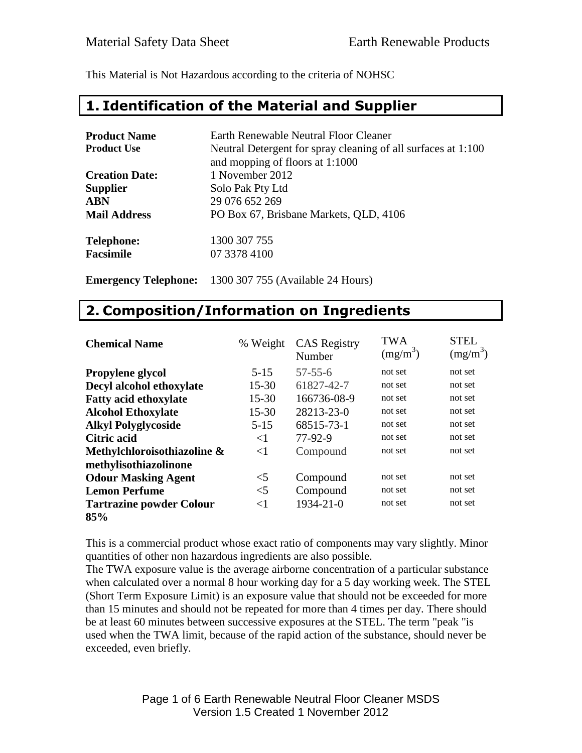This Material is Not Hazardous according to the criteria of NOHSC

#### **1. Identification of the Material and Supplier**

| <b>Product Name</b>   | Earth Renewable Neutral Floor Cleaner                                                            |
|-----------------------|--------------------------------------------------------------------------------------------------|
| <b>Product Use</b>    | Neutral Detergent for spray cleaning of all surfaces at 1:100<br>and mopping of floors at 1:1000 |
| <b>Creation Date:</b> | 1 November 2012                                                                                  |
| <b>Supplier</b>       | Solo Pak Pty Ltd                                                                                 |
| <b>ABN</b>            | 29 076 652 269                                                                                   |
| <b>Mail Address</b>   | PO Box 67, Brisbane Markets, QLD, 4106                                                           |
| <b>Telephone:</b>     | 1300 307 755                                                                                     |
| <b>Facsimile</b>      | 07 3378 4100                                                                                     |
|                       |                                                                                                  |

**Emergency Telephone:** 1300 307 755 (Available 24 Hours)

#### **2. Composition/Information on Ingredients**

| <b>Chemical Name</b>            | % Weight  | <b>CAS</b> Registry<br>Number | <b>TWA</b><br>$(mg/m^3)$ | <b>STEL</b><br>$(mg/m^3)$ |
|---------------------------------|-----------|-------------------------------|--------------------------|---------------------------|
| <b>Propylene glycol</b>         | $5 - 15$  | $57 - 55 - 6$                 | not set                  | not set                   |
| Decyl alcohol ethoxylate        | $15 - 30$ | 61827-42-7                    | not set                  | not set                   |
| <b>Fatty acid ethoxylate</b>    | $15 - 30$ | 166736-08-9                   | not set                  | not set                   |
| <b>Alcohol Ethoxylate</b>       | $15 - 30$ | 28213-23-0                    | not set                  | not set                   |
| <b>Alkyl Polyglycoside</b>      | $5 - 15$  | 68515-73-1                    | not set                  | not set                   |
| <b>Citric acid</b>              | ${<}1$    | 77-92-9                       | not set                  | not set                   |
| Methylchloroisothiazoline &     | $<$ 1     | Compound                      | not set                  | not set                   |
| methylisothiazolinone           |           |                               |                          |                           |
| <b>Odour Masking Agent</b>      | $<$ 5     | Compound                      | not set                  | not set                   |
| <b>Lemon Perfume</b>            | $<$ 5     | Compound                      | not set                  | not set                   |
| <b>Tartrazine powder Colour</b> | $<$ 1     | 1934-21-0                     | not set                  | not set                   |
| 85%                             |           |                               |                          |                           |

This is a commercial product whose exact ratio of components may vary slightly. Minor quantities of other non hazardous ingredients are also possible.

The TWA exposure value is the average airborne concentration of a particular substance when calculated over a normal 8 hour working day for a 5 day working week. The STEL (Short Term Exposure Limit) is an exposure value that should not be exceeded for more than 15 minutes and should not be repeated for more than 4 times per day. There should be at least 60 minutes between successive exposures at the STEL. The term "peak "is used when the TWA limit, because of the rapid action of the substance, should never be exceeded, even briefly.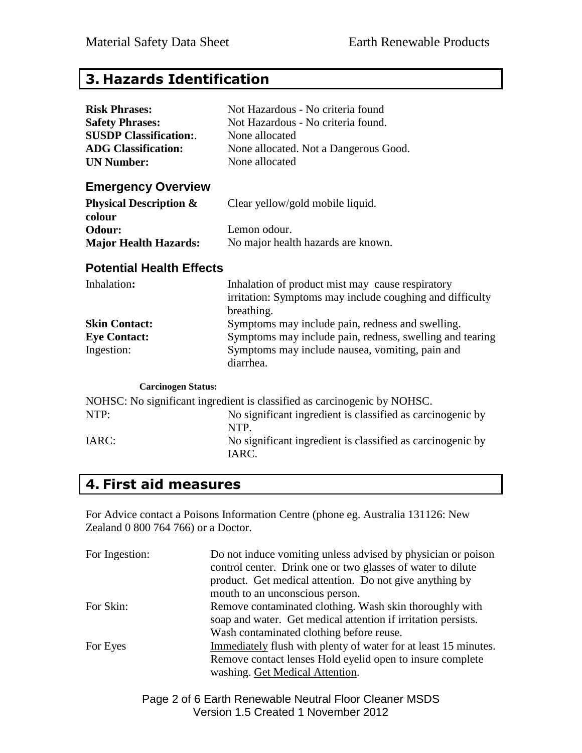## **3. Hazards Identification**

| <b>Risk Phrases:</b>                        | Not Hazardous - No criteria found                                                                                          |  |
|---------------------------------------------|----------------------------------------------------------------------------------------------------------------------------|--|
| <b>Safety Phrases:</b>                      | Not Hazardous - No criteria found.                                                                                         |  |
| <b>SUSDP Classification:.</b>               | None allocated                                                                                                             |  |
| <b>ADG Classification:</b>                  | None allocated. Not a Dangerous Good.                                                                                      |  |
| <b>UN Number:</b>                           | None allocated                                                                                                             |  |
| <b>Emergency Overview</b>                   |                                                                                                                            |  |
| <b>Physical Description &amp;</b><br>colour | Clear yellow/gold mobile liquid.                                                                                           |  |
| Odour:                                      | Lemon odour.                                                                                                               |  |
| <b>Major Health Hazards:</b>                | No major health hazards are known.                                                                                         |  |
| <b>Potential Health Effects</b>             |                                                                                                                            |  |
| Inhalation:                                 | Inhalation of product mist may cause respiratory<br>irritation: Symptoms may include coughing and difficulty<br>breathing. |  |
| <b>Skin Contact:</b>                        | Symptoms may include pain, redness and swelling.                                                                           |  |
| <b>Eye Contact:</b>                         | Symptoms may include pain, redness, swelling and tearing                                                                   |  |
| Ingestion:                                  | Symptoms may include nausea, vomiting, pain and<br>diarrhea.                                                               |  |
| <b>Carcinogen Status:</b>                   |                                                                                                                            |  |
|                                             | NOHSC: No significant ingredient is classified as carcinogenic by NOHSC.                                                   |  |
| NTP:                                        | No significant ingredient is classified as carcinogenic by<br>NTP.                                                         |  |
| IARC:                                       | No significant ingredient is classified as carcinogenic by<br>IARC.                                                        |  |

## **4. First aid measures**

For Advice contact a Poisons Information Centre (phone eg. Australia 131126: New Zealand 0 800 764 766) or a Doctor.

| For Ingestion: | Do not induce vomiting unless advised by physician or poison<br>control center. Drink one or two glasses of water to dilute<br>product. Get medical attention. Do not give anything by<br>mouth to an unconscious person. |
|----------------|---------------------------------------------------------------------------------------------------------------------------------------------------------------------------------------------------------------------------|
| For Skin:      | Remove contaminated clothing. Wash skin thoroughly with<br>soap and water. Get medical attention if irritation persists.                                                                                                  |
| For Eyes       | Wash contaminated clothing before reuse.<br>Immediately flush with plenty of water for at least 15 minutes.<br>Remove contact lenses Hold eyelid open to insure complete<br>washing. Get Medical Attention.               |

Page 2 of 6 Earth Renewable Neutral Floor Cleaner MSDS Version 1.5 Created 1 November 2012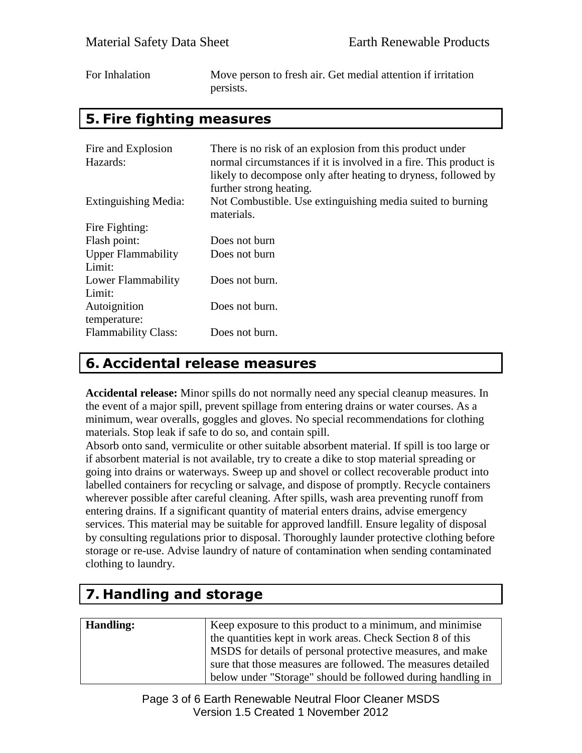| For Inhalation | Move person to fresh air. Get medial attention if irritation |
|----------------|--------------------------------------------------------------|
|                | persists.                                                    |

#### **5. Fire fighting measures**

| Fire and Explosion<br>Hazards:      | There is no risk of an explosion from this product under<br>normal circumstances if it is involved in a fire. This product is<br>likely to decompose only after heating to dryness, followed by<br>further strong heating. |
|-------------------------------------|----------------------------------------------------------------------------------------------------------------------------------------------------------------------------------------------------------------------------|
| Extinguishing Media:                | Not Combustible. Use extinguishing media suited to burning<br>materials.                                                                                                                                                   |
| Fire Fighting:                      |                                                                                                                                                                                                                            |
| Flash point:                        | Does not burn                                                                                                                                                                                                              |
| <b>Upper Flammability</b><br>Limit: | Does not burn                                                                                                                                                                                                              |
| Lower Flammability<br>Limit:        | Does not burn.                                                                                                                                                                                                             |
| Autoignition<br>temperature:        | Does not burn.                                                                                                                                                                                                             |
| <b>Flammability Class:</b>          | Does not burn.                                                                                                                                                                                                             |

#### **6. Accidental release measures**

**Accidental release:** Minor spills do not normally need any special cleanup measures. In the event of a major spill, prevent spillage from entering drains or water courses. As a minimum, wear overalls, goggles and gloves. No special recommendations for clothing materials. Stop leak if safe to do so, and contain spill.

Absorb onto sand, vermiculite or other suitable absorbent material. If spill is too large or if absorbent material is not available, try to create a dike to stop material spreading or going into drains or waterways. Sweep up and shovel or collect recoverable product into labelled containers for recycling or salvage, and dispose of promptly. Recycle containers wherever possible after careful cleaning. After spills, wash area preventing runoff from entering drains. If a significant quantity of material enters drains, advise emergency services. This material may be suitable for approved landfill. Ensure legality of disposal by consulting regulations prior to disposal. Thoroughly launder protective clothing before storage or re-use. Advise laundry of nature of contamination when sending contaminated clothing to laundry.

# **7. Handling and storage**

| <b>Handling:</b> | Keep exposure to this product to a minimum, and minimise     |
|------------------|--------------------------------------------------------------|
|                  |                                                              |
|                  | the quantities kept in work areas. Check Section 8 of this   |
|                  | MSDS for details of personal protective measures, and make   |
|                  | sure that those measures are followed. The measures detailed |
|                  | below under "Storage" should be followed during handling in  |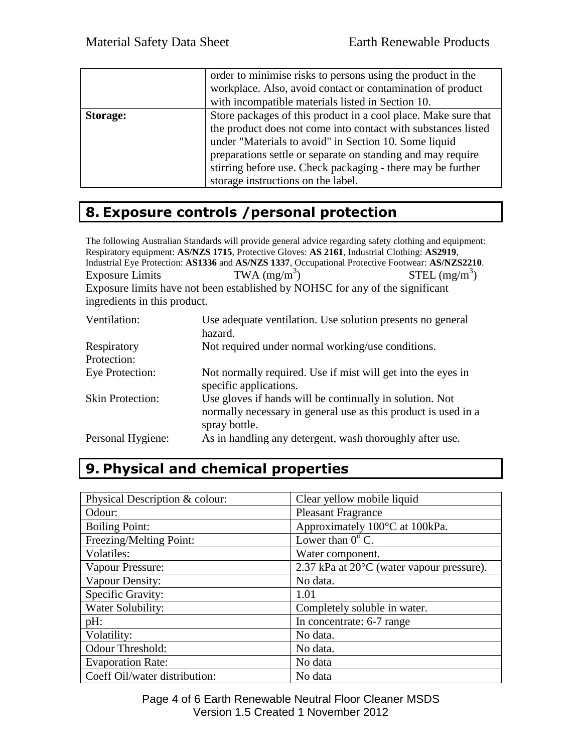|          | order to minimise risks to persons using the product in the<br>workplace. Also, avoid contact or contamination of product<br>with incompatible materials listed in Section 10.                                                                                                                                                                               |
|----------|--------------------------------------------------------------------------------------------------------------------------------------------------------------------------------------------------------------------------------------------------------------------------------------------------------------------------------------------------------------|
| Storage: | Store packages of this product in a cool place. Make sure that<br>the product does not come into contact with substances listed<br>under "Materials to avoid" in Section 10. Some liquid<br>preparations settle or separate on standing and may require<br>stirring before use. Check packaging - there may be further<br>storage instructions on the label. |

## **8. Exposure controls /personal protection**

The following Australian Standards will provide general advice regarding safety clothing and equipment: Respiratory equipment: **AS/NZS 1715**, Protective Gloves: **AS 2161**, Industrial Clothing: **AS2919**, Industrial Eye Protection: **AS1336** and **AS/NZS 1337**, Occupational Protective Footwear: **AS/NZS2210**. Exposure Limits TWA  $(mg/m<sup>3</sup>)$  $STEL (mg/m<sup>3</sup>)$ Exposure limits have not been established by NOHSC for any of the significant ingredients in this product.

| Ventilation:               | Use adequate ventilation. Use solution presents no general<br>hazard.                                                                       |
|----------------------------|---------------------------------------------------------------------------------------------------------------------------------------------|
| Respiratory<br>Protection: | Not required under normal working/use conditions.                                                                                           |
| Eye Protection:            | Not normally required. Use if mist will get into the eyes in<br>specific applications.                                                      |
| <b>Skin Protection:</b>    | Use gloves if hands will be continually in solution. Not<br>normally necessary in general use as this product is used in a<br>spray bottle. |
| Personal Hygiene:          | As in handling any detergent, wash thoroughly after use.                                                                                    |

# **9. Physical and chemical properties**

| Physical Description & colour: | Clear yellow mobile liquid                |
|--------------------------------|-------------------------------------------|
| Odour:                         | <b>Pleasant Fragrance</b>                 |
| <b>Boiling Point:</b>          | Approximately 100°C at 100kPa.            |
| Freezing/Melting Point:        | Lower than $0^{\circ}$ C.                 |
| Volatiles:                     | Water component.                          |
| Vapour Pressure:               | 2.37 kPa at 20°C (water vapour pressure). |
| Vapour Density:                | No data.                                  |
| Specific Gravity:              | 1.01                                      |
| Water Solubility:              | Completely soluble in water.              |
| pH:                            | In concentrate: 6-7 range                 |
| Volatility:                    | No data.                                  |
| Odour Threshold:               | No data.                                  |
| <b>Evaporation Rate:</b>       | No data                                   |
| Coeff Oil/water distribution:  | No data                                   |

Page 4 of 6 Earth Renewable Neutral Floor Cleaner MSDS Version 1.5 Created 1 November 2012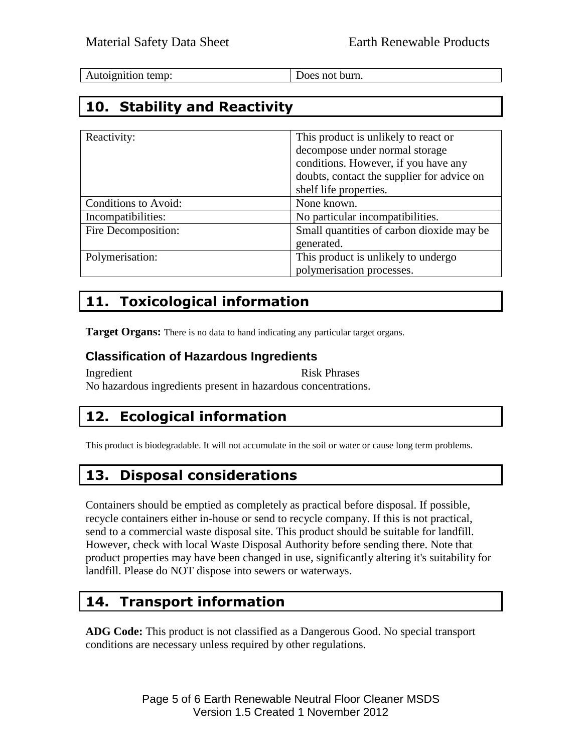| Autoignition temp: |
|--------------------|
|--------------------|

Does not burn.

## **10. Stability and Reactivity**

| Reactivity:          | This product is unlikely to react or<br>decompose under normal storage<br>conditions. However, if you have any<br>doubts, contact the supplier for advice on<br>shelf life properties. |
|----------------------|----------------------------------------------------------------------------------------------------------------------------------------------------------------------------------------|
| Conditions to Avoid: | None known.                                                                                                                                                                            |
| Incompatibilities:   | No particular incompatibilities.                                                                                                                                                       |
| Fire Decomposition:  | Small quantities of carbon dioxide may be<br>generated.                                                                                                                                |
| Polymerisation:      | This product is unlikely to undergo<br>polymerisation processes.                                                                                                                       |

## **11. Toxicological information**

**Target Organs:** There is no data to hand indicating any particular target organs.

#### **Classification of Hazardous Ingredients**

Ingredient Risk Phrases No hazardous ingredients present in hazardous concentrations.

## **12. Ecological information**

This product is biodegradable. It will not accumulate in the soil or water or cause long term problems.

## **13. Disposal considerations**

Containers should be emptied as completely as practical before disposal. If possible, recycle containers either in-house or send to recycle company. If this is not practical, send to a commercial waste disposal site. This product should be suitable for landfill. However, check with local Waste Disposal Authority before sending there. Note that product properties may have been changed in use, significantly altering it's suitability for landfill. Please do NOT dispose into sewers or waterways.

## **14. Transport information**

**ADG Code:** This product is not classified as a Dangerous Good. No special transport conditions are necessary unless required by other regulations.